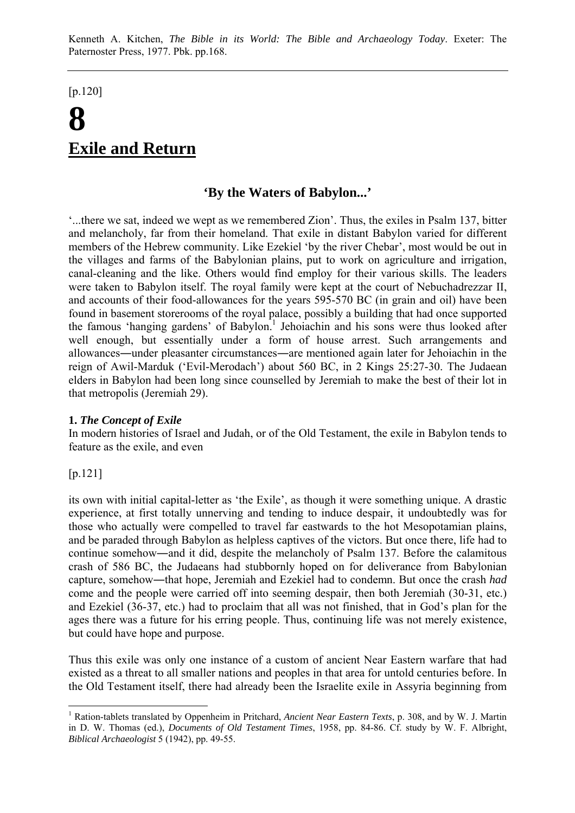[p.120]

# **8 Exile and Return**

## **'By the Waters of Babylon...'**

'...there we sat, indeed we wept as we remembered Zion'. Thus, the exiles in Psalm 137, bitter and melancholy, far from their homeland. That exile in distant Babylon varied for different members of the Hebrew community. Like Ezekiel 'by the river Chebar', most would be out in the villages and farms of the Babylonian plains, put to work on agriculture and irrigation, canal-cleaning and the like. Others would find employ for their various skills. The leaders were taken to Babylon itself. The royal family were kept at the court of Nebuchadrezzar II, and accounts of their food-allowances for the years 595-570 BC (in grain and oil) have been found in basement storerooms of the royal palace, possibly a building that had once supported the famous 'hanging gardens' of Babylon.<sup>1</sup> Jehoiachin and his sons were thus looked after well enough, but essentially under a form of house arrest. Such arrangements and allowances―under pleasanter circumstances―are mentioned again later for Jehoiachin in the reign of Awil-Marduk ('Evil-Merodach') about 560 BC, in 2 Kings 25:27-30. The Judaean elders in Babylon had been long since counselled by Jeremiah to make the best of their lot in that metropolis (Jeremiah 29).

#### **1.** *The Concept of Exile*

In modern histories of Israel and Judah, or of the Old Testament, the exile in Babylon tends to feature as the exile, and even

[p.121]

 $\overline{a}$ 

its own with initial capital-letter as 'the Exile', as though it were something unique. A drastic experience, at first totally unnerving and tending to induce despair, it undoubtedly was for those who actually were compelled to travel far eastwards to the hot Mesopotamian plains, and be paraded through Babylon as helpless captives of the victors. But once there, life had to continue somehow―and it did, despite the melancholy of Psalm 137. Before the calamitous crash of 586 BC, the Judaeans had stubbornly hoped on for deliverance from Babylonian capture, somehow―that hope, Jeremiah and Ezekiel had to condemn. But once the crash *had* come and the people were carried off into seeming despair, then both Jeremiah (30-31, etc.) and Ezekiel (36-37, etc.) had to proclaim that all was not finished, that in God's plan for the ages there was a future for his erring people. Thus, continuing life was not merely existence, but could have hope and purpose.

Thus this exile was only one instance of a custom of ancient Near Eastern warfare that had existed as a threat to all smaller nations and peoples in that area for untold centuries before. In the Old Testament itself, there had already been the Israelite exile in Assyria beginning from

<sup>&</sup>lt;sup>1</sup> Ration-tablets translated by Oppenheim in Pritchard, *Ancient Near Eastern Texts*, p. 308, and by W. J. Martin in D. W. Thomas (ed.), *Documents of Old Testament Times*, 1958, pp. 84-86. Cf. study by W. F. Albright, *Biblical Archaeologist* 5 (1942), pp. 49-55.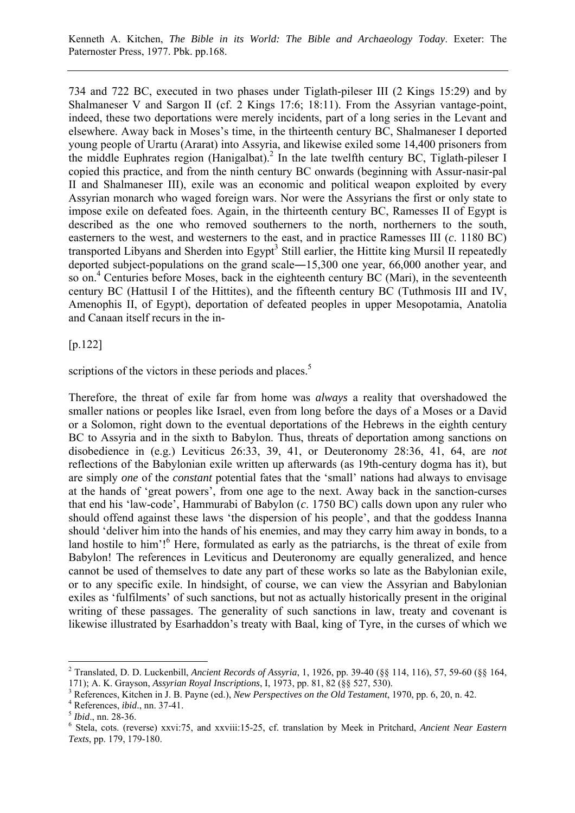734 and 722 BC, executed in two phases under Tiglath-pileser III (2 Kings 15:29) and by Shalmaneser V and Sargon II (cf. 2 Kings 17:6; 18:11). From the Assyrian vantage-point, indeed, these two deportations were merely incidents, part of a long series in the Levant and elsewhere. Away back in Moses's time, in the thirteenth century BC, Shalmaneser I deported young people of Urartu (Ararat) into Assyria, and likewise exiled some 14,400 prisoners from the middle Euphrates region (Hanigalbat).<sup>2</sup> In the late twelfth century BC, Tiglath-pileser I copied this practice, and from the ninth century BC onwards (beginning with Assur-nasir-pal II and Shalmaneser III), exile was an economic and political weapon exploited by every Assyrian monarch who waged foreign wars. Nor were the Assyrians the first or only state to impose exile on defeated foes. Again, in the thirteenth century BC, Ramesses II of Egypt is described as the one who removed southerners to the north, northerners to the south, easterners to the west, and westerners to the east, and in practice Ramesses III (*c*. 1180 BC) transported Libyans and Sherden into Egypt<sup>3</sup> Still earlier, the Hittite king Mursil II repeatedly deported subject-populations on the grand scale―15,300 one year, 66,000 another year, and so on.<sup>4</sup> Centuries before Moses, back in the eighteenth century BC (Mari), in the seventeenth century BC (Hattusil I of the Hittites), and the fifteenth century BC (Tuthmosis III and IV, Amenophis II, of Egypt), deportation of defeated peoples in upper Mesopotamia, Anatolia and Canaan itself recurs in the in-

[p.122]

scriptions of the victors in these periods and places.<sup>5</sup>

Therefore, the threat of exile far from home was *always* a reality that overshadowed the smaller nations or peoples like Israel, even from long before the days of a Moses or a David or a Solomon, right down to the eventual deportations of the Hebrews in the eighth century BC to Assyria and in the sixth to Babylon. Thus, threats of deportation among sanctions on disobedience in (e.g.) Leviticus 26:33, 39, 41, or Deuteronomy 28:36, 41, 64, are *not* reflections of the Babylonian exile written up afterwards (as 19th-century dogma has it), but are simply *one* of the *constant* potential fates that the 'small' nations had always to envisage at the hands of 'great powers', from one age to the next. Away back in the sanction-curses that end his 'law-code', Hammurabi of Babylon (*c*. 1750 BC) calls down upon any ruler who should offend against these laws 'the dispersion of his people', and that the goddess Inanna should 'deliver him into the hands of his enemies, and may they carry him away in bonds, to a land hostile to him'!<sup>6</sup> Here, formulated as early as the patriarchs, is the threat of exile from Babylon! The references in Leviticus and Deuteronomy are equally generalized, and hence cannot be used of themselves to date any part of these works so late as the Babylonian exile, or to any specific exile. In hindsight, of course, we can view the Assyrian and Babylonian exiles as 'fulfilments' of such sanctions, but not as actually historically present in the original writing of these passages. The generality of such sanctions in law, treaty and covenant is likewise illustrated by Esarhaddon's treaty with Baal, king of Tyre, in the curses of which we

 $\overline{a}$ 

<sup>2</sup> Translated, D. D. Luckenbill, *Ancient Records of Assyria*, 1, 1926, pp. 39-40 (§§ 114, 116), 57, 59-60 (§§ 164, 171); A. K. Grayson, *Assyrian Royal Inscriptions*, I, 1973, pp. 81, 82 (§§ 527, 530). 3

References, Kitchen in J. B. Payne (ed.), *New Perspectives on the Old Testament*, 1970, pp. 6, 20, n. 42. 4

References, *ibid*., nn. 37-41. 5 *Ibid*., nn. 28-36. 6

Stela, cots. (reverse) xxvi:75, and xxviii:15-25, cf. translation by Meek in Pritchard, *Ancient Near Eastern Texts*, pp. 179, 179-180.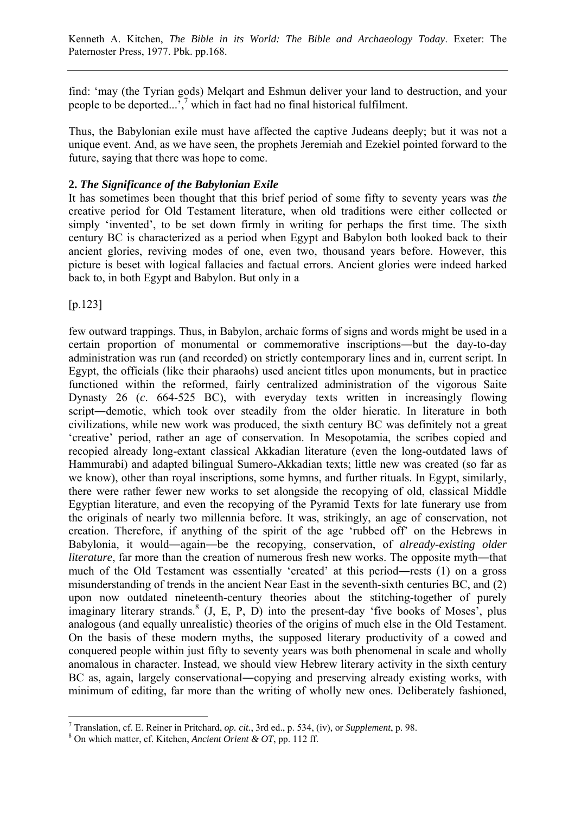find: 'may (the Tyrian gods) Melqart and Eshmun deliver your land to destruction, and your people to be deported...,<sup>7</sup> which in fact had no final historical fulfilment.

Thus, the Babylonian exile must have affected the captive Judeans deeply; but it was not a unique event. And, as we have seen, the prophets Jeremiah and Ezekiel pointed forward to the future, saying that there was hope to come.

### **2.** *The Significance of the Babylonian Exile*

It has sometimes been thought that this brief period of some fifty to seventy years was *the* creative period for Old Testament literature, when old traditions were either collected or simply 'invented', to be set down firmly in writing for perhaps the first time. The sixth century BC is characterized as a period when Egypt and Babylon both looked back to their ancient glories, reviving modes of one, even two, thousand years before. However, this picture is beset with logical fallacies and factual errors. Ancient glories were indeed harked back to, in both Egypt and Babylon. But only in a

[p.123]

 $\overline{a}$ 

few outward trappings. Thus, in Babylon, archaic forms of signs and words might be used in a certain proportion of monumental or commemorative inscriptions―but the day-to-day administration was run (and recorded) on strictly contemporary lines and in, current script. In Egypt, the officials (like their pharaohs) used ancient titles upon monuments, but in practice functioned within the reformed, fairly centralized administration of the vigorous Saite Dynasty 26 (*c*. 664-525 BC), with everyday texts written in increasingly flowing script―demotic, which took over steadily from the older hieratic. In literature in both civilizations, while new work was produced, the sixth century BC was definitely not a great 'creative' period, rather an age of conservation. In Mesopotamia, the scribes copied and recopied already long-extant classical Akkadian literature (even the long-outdated laws of Hammurabi) and adapted bilingual Sumero-Akkadian texts; little new was created (so far as we know), other than royal inscriptions, some hymns, and further rituals. In Egypt, similarly, there were rather fewer new works to set alongside the recopying of old, classical Middle Egyptian literature, and even the recopying of the Pyramid Texts for late funerary use from the originals of nearly two millennia before. It was, strikingly, an age of conservation, not creation. Therefore, if anything of the spirit of the age 'rubbed off' on the Hebrews in Babylonia, it would―again―be the recopying, conservation, of *already-existing older literature*, far more than the creation of numerous fresh new works. The opposite myth—that much of the Old Testament was essentially 'created' at this period―rests (1) on a gross misunderstanding of trends in the ancient Near East in the seventh-sixth centuries BC, and (2) upon now outdated nineteenth-century theories about the stitching-together of purely imaginary literary strands.<sup>8</sup>  $(I, E, P, D)$  into the present-day 'five books of Moses', plus analogous (and equally unrealistic) theories of the origins of much else in the Old Testament. On the basis of these modern myths, the supposed literary productivity of a cowed and conquered people within just fifty to seventy years was both phenomenal in scale and wholly anomalous in character. Instead, we should view Hebrew literary activity in the sixth century BC as, again, largely conservational―copying and preserving already existing works, with minimum of editing, far more than the writing of wholly new ones. Deliberately fashioned,

<sup>&</sup>lt;sup>7</sup> Translation, cf. E. Reiner in Pritchard, *op. cit.*, 3rd ed., p. 534, (iv), or *Supplement*, p. 98.  $\frac{8}{3}$  On which matter of *V*-itabon, *Ansient Orient*  $\cancel{\text{R}}$  OT, np. 112 ff.

On which matter, cf. Kitchen, *Ancient Orient & OT*, pp. 112 ff.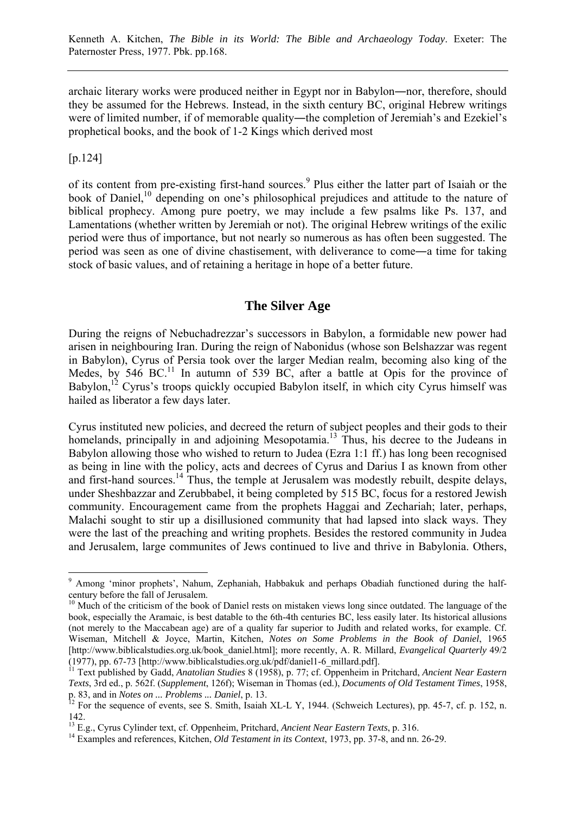archaic literary works were produced neither in Egypt nor in Babylon―nor, therefore, should they be assumed for the Hebrews. Instead, in the sixth century BC, original Hebrew writings were of limited number, if of memorable quality—the completion of Jeremiah's and Ezekiel's prophetical books, and the book of 1-2 Kings which derived most

[p.124]

of its content from pre-existing first-hand sources.<sup>9</sup> Plus either the latter part of Isaiah or the book of Daniel,<sup>10</sup> depending on one's philosophical prejudices and attitude to the nature of biblical prophecy. Among pure poetry, we may include a few psalms like Ps. 137, and Lamentations (whether written by Jeremiah or not). The original Hebrew writings of the exilic period were thus of importance, but not nearly so numerous as has often been suggested. The period was seen as one of divine chastisement, with deliverance to come―a time for taking stock of basic values, and of retaining a heritage in hope of a better future.

## **The Silver Age**

During the reigns of Nebuchadrezzar's successors in Babylon, a formidable new power had arisen in neighbouring Iran. During the reign of Nabonidus (whose son Belshazzar was regent in Babylon), Cyrus of Persia took over the larger Median realm, becoming also king of the Medes, by 546 BC.<sup>11</sup> In autumn of 539 BC, after a battle at Opis for the province of Babylon,<sup>12</sup> Cyrus's troops quickly occupied Babylon itself, in which city Cyrus himself was hailed as liberator a few days later.

Cyrus instituted new policies, and decreed the return of subject peoples and their gods to their homelands, principally in and adjoining Mesopotamia.<sup>13</sup> Thus, his decree to the Judeans in Babylon allowing those who wished to return to Judea (Ezra 1:1 ff.) has long been recognised as being in line with the policy, acts and decrees of Cyrus and Darius I as known from other and first-hand sources.<sup>14</sup> Thus, the temple at Jerusalem was modestly rebuilt, despite delays, under Sheshbazzar and Zerubbabel, it being completed by 515 BC, focus for a restored Jewish community. Encouragement came from the prophets Haggai and Zechariah; later, perhaps, Malachi sought to stir up a disillusioned community that had lapsed into slack ways. They were the last of the preaching and writing prophets. Besides the restored community in Judea and Jerusalem, large communites of Jews continued to live and thrive in Babylonia. Others,

<sup>&</sup>lt;sup>9</sup> Among 'minor prophets', Nahum, Zephaniah, Habbakuk and perhaps Obadiah functioned during the halfcentury before the fall of Jerusalem.

<sup>&</sup>lt;sup>10</sup> Much of the criticism of the book of Daniel rests on mistaken views long since outdated. The language of the book, especially the Aramaic, is best datable to the 6th-4th centuries BC, less easily later. Its historical allusions (not merely to the Maccabean age) are of a quality far superior to Judith and related works, for example. Cf. Wiseman, Mitchell & Joyce, Martin, Kitchen, *Notes on Some Problems in the Book of Daniel*, 1965 [\[http://www.biblicalstudies.org.uk/book\\_daniel.htm](http://www.biblicalstudies.org.uk/book_daniel.html)l]; more recently, A. R. Millard, *Evangelical Quarterly* 49/2

<sup>(1977),</sup> pp. 67-73 [[http://www.biblicalstudies.org.uk/pdf/daniel1-6\\_millard.pd](http://www.biblicalstudies.org.uk/pdf/daniel1-6_millard.pdf)f]. 11 Text published by Gadd, *Anatolian Studies* 8 (1958), p. 77; cf. Oppenheim in Pritchard, *Ancient Near Eastern Texts*, 3rd ed., p. 562f. (*Supplement*, 126f); Wiseman in Thomas (ed.), *Documents of Old Testament Times*, 1958, p. 83, and in *Notes on ... Problems ... Daniel*, p. 13.<br><sup>12</sup> For the sequence of events, see S. Smith, Isaiah XL-L Y, 1944. (Schweich Lectures), pp. 45-7, cf. p. 152, n.

<sup>142.&</sup>lt;br><sup>13</sup> E.g., Cyrus Cylinder text, cf. Oppenheim, Pritchard, Ancient Near Eastern Texts, p. 316.

<sup>&</sup>lt;sup>14</sup> Examples and references, Kitchen, *Old Testament in its Context*, 1973, pp. 37-8, and nn. 26-29.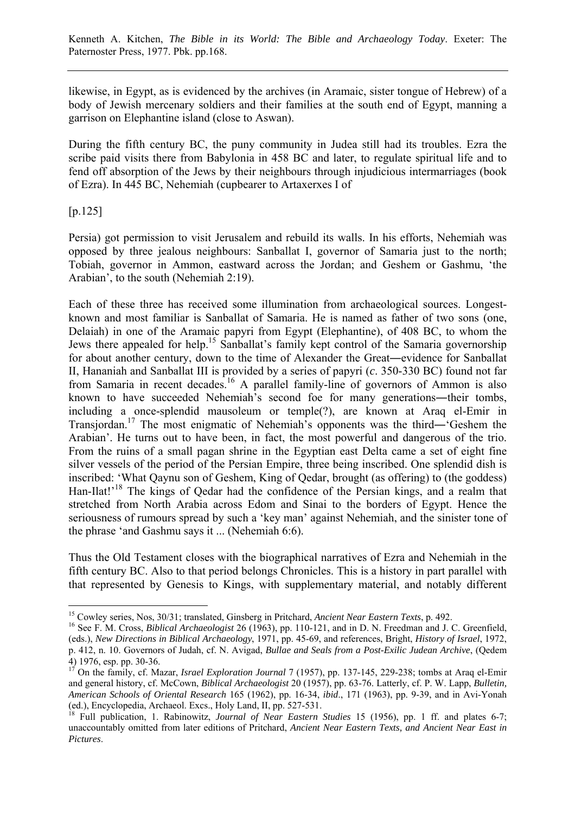likewise, in Egypt, as is evidenced by the archives (in Aramaic, sister tongue of Hebrew) of a body of Jewish mercenary soldiers and their families at the south end of Egypt, manning a garrison on Elephantine island (close to Aswan).

During the fifth century BC, the puny community in Judea still had its troubles. Ezra the scribe paid visits there from Babylonia in 458 BC and later, to regulate spiritual life and to fend off absorption of the Jews by their neighbours through injudicious intermarriages (book of Ezra). In 445 BC, Nehemiah (cupbearer to Artaxerxes I of

[p.125]

Persia) got permission to visit Jerusalem and rebuild its walls. In his efforts, Nehemiah was opposed by three jealous neighbours: Sanballat I, governor of Samaria just to the north; Tobiah, governor in Ammon, eastward across the Jordan; and Geshem or Gashmu, 'the Arabian', to the south (Nehemiah 2:19).

Each of these three has received some illumination from archaeological sources. Longestknown and most familiar is Sanballat of Samaria. He is named as father of two sons (one, Delaiah) in one of the Aramaic papyri from Egypt (Elephantine), of 408 BC, to whom the Jews there appealed for help.<sup>15</sup> Sanballat's family kept control of the Samaria governorship for about another century, down to the time of Alexander the Great―evidence for Sanballat II, Hananiah and Sanballat III is provided by a series of papyri (*c*. 350-330 BC) found not far from Samaria in recent decades.16 A parallel family-line of governors of Ammon is also known to have succeeded Nehemiah's second foe for many generations―their tombs, including a once-splendid mausoleum or temple(?), are known at Araq el-Emir in Transjordan.<sup>17</sup> The most enigmatic of Nehemiah's opponents was the third—'Geshem the Arabian'. He turns out to have been, in fact, the most powerful and dangerous of the trio. From the ruins of a small pagan shrine in the Egyptian east Delta came a set of eight fine silver vessels of the period of the Persian Empire, three being inscribed. One splendid dish is inscribed: 'What Qaynu son of Geshem, King of Qedar, brought (as offering) to (the goddess) Han-Ilat!<sup>18</sup> The kings of Qedar had the confidence of the Persian kings, and a realm that stretched from North Arabia across Edom and Sinai to the borders of Egypt. Hence the seriousness of rumours spread by such a 'key man' against Nehemiah, and the sinister tone of the phrase 'and Gashmu says it ... (Nehemiah 6:6).

Thus the Old Testament closes with the biographical narratives of Ezra and Nehemiah in the fifth century BC. Also to that period belongs Chronicles. This is a history in part parallel with that represented by Genesis to Kings, with supplementary material, and notably different

 $\overline{a}$ <sup>15</sup> Cowley series, Nos, 30/31; translated, Ginsberg in Pritchard, *Ancient Near Eastern Texts*, p. 492.<br><sup>16</sup> See F. M. Cross, *Biblical Archaeologist* 26 (1963), pp. 110-121, and in D. N. Freedman and J. C. Greenfield,

<sup>(</sup>eds.), *New Directions in Biblical Archaeology*, 1971, pp. 45-69, and references, Bright, *History of Israel*, 1972, p. 412, n. 10. Governors of Judah, cf. N. Avigad, *Bullae and Seals from a Post-Exilic Judean Archive*, (Qedem 4) 1976, esp. pp. 30-36.

<sup>17</sup> On the family, cf. Mazar, *Israel Exploration Journal* 7 (1957), pp. 137-145, 229-238; tombs at Araq el-Emir and general history, cf. McCown, *Biblical Archaeologist* 20 (1957), pp. 63-76. Latterly, cf. P. W. Lapp, *Bulletin, American Schools of Oriental Research* 165 (1962), pp. 16-34, *ibid*., 171 (1963), pp. 9-39, and in Avi-Yonah (ed.), Encyclopedia, Archaeol. Excs., Holy Land, II, pp. 527-531.

<sup>&</sup>lt;sup>18</sup> Full publication, 1. Rabinowitz, *Journal of Near Eastern Studies* 15 (1956), pp. 1 ff. and plates 6-7; unaccountably omitted from later editions of Pritchard, *Ancient Near Eastern Texts, and Ancient Near East in Pictures*.